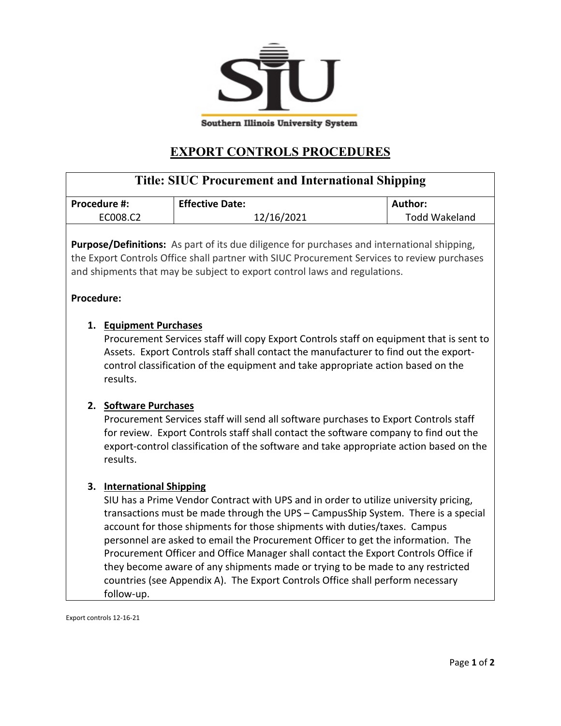

## **EXPORT CONTROLS PROCEDURES**

| <b>Title: SIUC Procurement and International Shipping</b>                                                                                                                                                                                                                                                 |                                                                                                                                                                                                                                                                                                                                                                                                                                                                                                                                                                                                                                                 |                        |                      |
|-----------------------------------------------------------------------------------------------------------------------------------------------------------------------------------------------------------------------------------------------------------------------------------------------------------|-------------------------------------------------------------------------------------------------------------------------------------------------------------------------------------------------------------------------------------------------------------------------------------------------------------------------------------------------------------------------------------------------------------------------------------------------------------------------------------------------------------------------------------------------------------------------------------------------------------------------------------------------|------------------------|----------------------|
| Procedure #:                                                                                                                                                                                                                                                                                              |                                                                                                                                                                                                                                                                                                                                                                                                                                                                                                                                                                                                                                                 | <b>Effective Date:</b> | Author:              |
| EC008.C2                                                                                                                                                                                                                                                                                                  |                                                                                                                                                                                                                                                                                                                                                                                                                                                                                                                                                                                                                                                 | 12/16/2021             | <b>Todd Wakeland</b> |
| Purpose/Definitions: As part of its due diligence for purchases and international shipping,<br>the Export Controls Office shall partner with SIUC Procurement Services to review purchases<br>and shipments that may be subject to export control laws and regulations.                                   |                                                                                                                                                                                                                                                                                                                                                                                                                                                                                                                                                                                                                                                 |                        |                      |
| <b>Procedure:</b>                                                                                                                                                                                                                                                                                         |                                                                                                                                                                                                                                                                                                                                                                                                                                                                                                                                                                                                                                                 |                        |                      |
| 1. Equipment Purchases<br>Procurement Services staff will copy Export Controls staff on equipment that is sent to<br>Assets. Export Controls staff shall contact the manufacturer to find out the export-<br>control classification of the equipment and take appropriate action based on the<br>results. |                                                                                                                                                                                                                                                                                                                                                                                                                                                                                                                                                                                                                                                 |                        |                      |
|                                                                                                                                                                                                                                                                                                           | 2. Software Purchases<br>Procurement Services staff will send all software purchases to Export Controls staff<br>for review. Export Controls staff shall contact the software company to find out the<br>export-control classification of the software and take appropriate action based on the<br>results.                                                                                                                                                                                                                                                                                                                                     |                        |                      |
|                                                                                                                                                                                                                                                                                                           | 3. International Shipping<br>SIU has a Prime Vendor Contract with UPS and in order to utilize university pricing,<br>transactions must be made through the UPS - CampusShip System. There is a special<br>account for those shipments for those shipments with duties/taxes. Campus<br>personnel are asked to email the Procurement Officer to get the information. The<br>Procurement Officer and Office Manager shall contact the Export Controls Office if<br>they become aware of any shipments made or trying to be made to any restricted<br>countries (see Appendix A). The Export Controls Office shall perform necessary<br>follow-up. |                        |                      |

Export controls 12-16-21